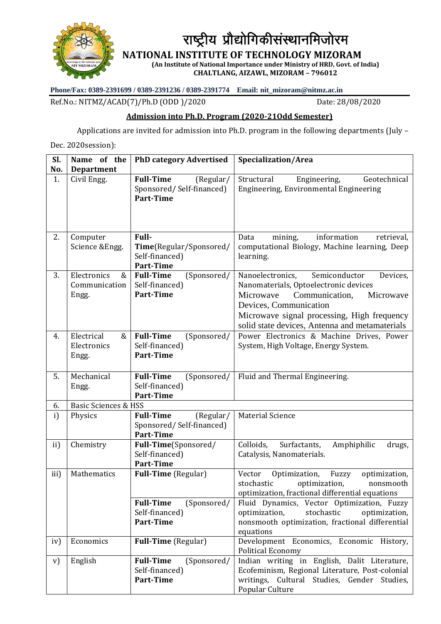

राष्ट्रीय प्रौद्योगिकीसंस्थानमिजोरम

**NATIONAL INSTITUTE OF TECHNOLOGY MIZORAM**

**(An Institute of National Importance under Ministry of HRD, Govt. of India) CHALTLANG, AIZAWL, MIZORAM – 796012**

**Phone/Fax: 0389-2391699 / 0389-2391236 / 0389-2391774 Email: nit\_mizoram@nitmz.ac.in**

Ref.No.: NITMZ/ACAD(7)/Ph.D (ODD)/2020 Date: 28/08/2020

## **Admission into Ph.D. Program (2020-21Odd Semester)**

Applications are invited for admission into Ph.D. program in the following departments (July –

Dec. 2020session):

| Sl.<br>No. | Name of the<br><b>Department</b>           | <b>PhD category Advertised</b>                                                | Specialization/Area                                                                                                                                                                                                                                           |
|------------|--------------------------------------------|-------------------------------------------------------------------------------|---------------------------------------------------------------------------------------------------------------------------------------------------------------------------------------------------------------------------------------------------------------|
| 1.         | Civil Engg.                                | <b>Full-Time</b><br>(Regular/<br>Sponsored/Self-financed)<br>Part-Time        | Structural<br>Engineering,<br>Geotechnical<br>Engineering, Environmental Engineering                                                                                                                                                                          |
| 2.         | Computer<br>Science & Engg.                | Full-<br>Time(Regular/Sponsored/<br>Self-financed)<br>Part-Time               | information<br>Data<br>mining,<br>retrieval,<br>computational Biology, Machine learning, Deep<br>learning.                                                                                                                                                    |
| 3.         | Electronics<br>&<br>Communication<br>Engg. | <b>Full-Time</b><br>(Sponsored/<br>Self-financed)<br><b>Part-Time</b>         | Semiconductor<br>Nanoelectronics,<br>Devices,<br>Nanomaterials, Optoelectronic devices<br>Microwave<br>Communication,<br>Microwave<br>Devices, Communication<br>Microwave signal processing, High frequency<br>solid state devices, Antenna and metamaterials |
| 4.         | Electrical<br>&<br>Electronics<br>Engg.    | <b>Full-Time</b><br>(Sponsored/<br>Self-financed)<br>Part-Time                | Power Electronics & Machine Drives, Power<br>System, High Voltage, Energy System.                                                                                                                                                                             |
| 5.         | Mechanical<br>Engg.                        | <b>Full-Time</b><br>(Sponsored/<br>Self-financed)<br><b>Part-Time</b>         | Fluid and Thermal Engineering.                                                                                                                                                                                                                                |
| 6.         | <b>Basic Sciences &amp; HSS</b>            |                                                                               |                                                                                                                                                                                                                                                               |
| i)         | Physics                                    | <b>Full-Time</b><br>(Regular/<br>Sponsored/Self-financed)<br><b>Part-Time</b> | <b>Material Science</b>                                                                                                                                                                                                                                       |
| ii)        | Chemistry                                  | Full-Time(Sponsored/<br>Self-financed)<br><b>Part-Time</b>                    | Colloids,<br>Surfactants,<br>Amphiphilic<br>drugs,<br>Catalysis, Nanomaterials.                                                                                                                                                                               |
| iii)       | Mathematics                                | <b>Full-Time</b> (Regular)                                                    | Vector<br>Optimization,<br>Fuzzy<br>optimization,<br>stochastic<br>optimization,<br>nonsmooth<br>optimization, fractional differential equations                                                                                                              |
|            |                                            | <b>Full-Time</b><br>(Sponsored/<br>Self-financed)<br>Part-Time                | Fluid Dynamics, Vector Optimization, Fuzzy<br>optimization,<br>stochastic<br>optimization,<br>nonsmooth optimization, fractional differential<br>equations                                                                                                    |
| iv)        | Economics                                  | <b>Full-Time</b> (Regular)                                                    | Development Economics, Economic History,<br><b>Political Economy</b>                                                                                                                                                                                          |
| V)         | English                                    | <b>Full-Time</b><br>(Sponsored/<br>Self-financed)<br>Part-Time                | Indian writing in English, Dalit Literature,<br>Ecofeminism, Regional Literature, Post-colonial<br>writings, Cultural Studies, Gender Studies,<br>Popular Culture                                                                                             |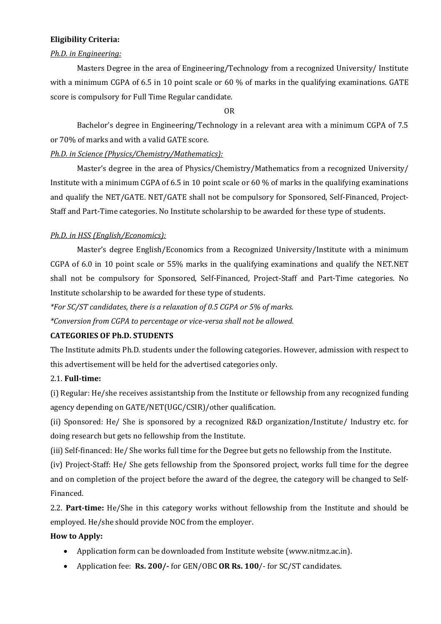#### **Eligibility Criteria:**

#### *Ph.D. in Engineering:*

Masters Degree in the area of Engineering/Technology from a recognized University/ Institute with a minimum CGPA of 6.5 in 10 point scale or 60 % of marks in the qualifying examinations. GATE score is compulsory for Full Time Regular candidate.

OR

Bachelor's degree in Engineering/Technology in a relevant area with a minimum CGPA of 7.5 or 70% of marks and with a valid GATE score.

### *Ph.D. in Science (Physics/Chemistry/Mathematics):*

Master's degree in the area of Physics/Chemistry/Mathematics from a recognized University/ Institute with a minimum CGPA of 6.5 in 10 point scale or 60 % of marks in the qualifying examinations and qualify the NET/GATE. NET/GATE shall not be compulsory for Sponsored, Self-Financed, Project-Staff and Part-Time categories. No Institute scholarship to be awarded for these type of students.

#### *Ph.D. in HSS (English/Economics):*

Master's degree English/Economics from a Recognized University/Institute with a minimum CGPA of 6.0 in 10 point scale or 55% marks in the qualifying examinations and qualify the NET.NET shall not be compulsory for Sponsored, Self-Financed, Project-Staff and Part-Time categories. No Institute scholarship to be awarded for these type of students.

*\*For SC/ST candidates, there is a relaxation of 0.5 CGPA or 5% of marks.*

*\*Conversion from CGPA to percentage or vice-versa shall not be allowed.*

#### **CATEGORIES OF Ph.D. STUDENTS**

The Institute admits Ph.D. students under the following categories. However, admission with respect to this advertisement will be held for the advertised categories only.

#### 2.1. **Full-time:**

(i) Regular: He/she receives assistantship from the Institute or fellowship from any recognized funding agency depending on GATE/NET(UGC/CSIR)/other qualification.

(ii) Sponsored: He/ She is sponsored by a recognized R&D organization/Institute/ Industry etc. for doing research but gets no fellowship from the Institute.

(iii) Self-financed: He/ She works full time for the Degree but gets no fellowship from the Institute.

(iv) Project-Staff: He/ She gets fellowship from the Sponsored project, works full time for the degree and on completion of the project before the award of the degree, the category will be changed to Self-Financed.

2.2. **Part-time:** He/She in this category works without fellowship from the Institute and should be employed. He/she should provide NOC from the employer.

#### **How to Apply:**

- Application form can be downloaded from Institute website (www.nitmz.ac.in).
- Application fee: **Rs. 200/-** for GEN/OBC **OR Rs. 100**/- for SC/ST candidates.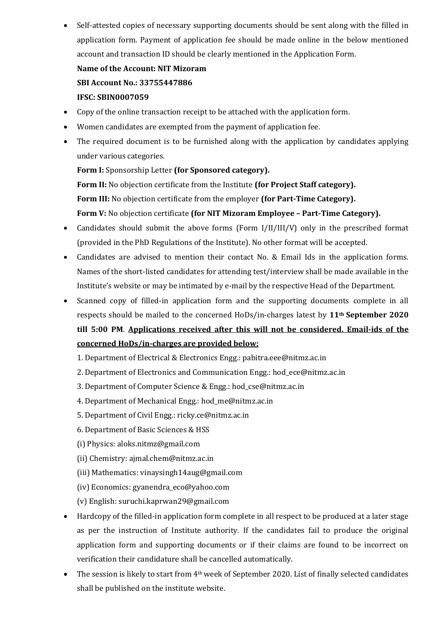Self-attested copies of necessary supporting documents should be sent along with the filled in application form. Payment of application fee should be made online in the below mentioned account and transaction ID should be clearly mentioned in the Application Form.

# **Name of the Account: NIT Mizoram SBI Account No.: 33755447886 IFSC: SBIN0007059**

- Copy of the online transaction receipt to be attached with the application form.
- Women candidates are exempted from the payment of application fee.
- The required document is to be furnished along with the application by candidates applying under various categories.

**Form I:** Sponsorship Letter **(for Sponsored category).**

**Form II:** No objection certificate from the Institute **(for Project Staff category).**

**Form III:** No objection certificate from the employer **(for Part-Time Category).**

#### **Form V:** No objection certificate **(for NIT Mizoram Employee – Part-Time Category).**

- Candidates should submit the above forms (Form I/II/III/V) only in the prescribed format (provided in the PhD Regulations of the Institute). No other format will be accepted.
- Candidates are advised to mention their contact No. & Email Ids in the application forms. Names of the short-listed candidates for attending test/interview shall be made available in the Institute's website or may be intimated by e-mail by the respective Head of the Department.
- Scanned copy of filled-in application form and the supporting documents complete in all respects should be mailed to the concerned HoDs/in-charges latest by **11th September 2020 till 5:00 PM**. **Applications received after this will not be considered. Email-ids of the concerned HoDs/in-charges are provided below:**
	- 1. Department of Electrical & Electronics Engg.: pabitra.eee@nitmz.ac.in
	- 2. Department of Electronics and Communication Engg.: hod\_ece@nitmz.ac.in
	- 3. Department of Computer Science & Engg.: hod\_cse@nitmz.ac.in
	- 4. Department of Mechanical Engg.: hod\_me@nitmz.ac.in
	- 5. Department of Civil Engg.: ricky.ce@nitmz.ac.in
	- 6. Department of Basic Sciences & HSS
	- (i) Physics: aloks.nitmz@gmail.com
	- (ii) Chemistry: ajmal.chem@nitmz.ac.in
	- (iii) Mathematics: vinaysingh14aug@gmail.com
	- (iv) Economics: gyanendra\_eco@yahoo.com
	- (v) English: suruchi.kaprwan29@gmail.com
- Hardcopy of the filled-in application form complete in all respect to be produced at a later stage as per the instruction of Institute authority. If the candidates fail to produce the original application form and supporting documents or if their claims are found to be incorrect on verification their candidature shall be cancelled automatically.
- The session is likely to start from 4th week of September 2020. List of finally selected candidates shall be published on the institute website.